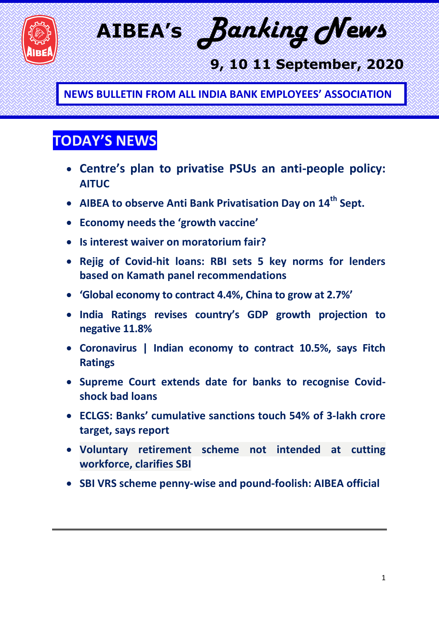

**AIBEA's** *Banking News*

## **9, 10 11 September, 2020**

**NEWS BULLETIN FROM ALL INDIA BANK EMPLOYEES' ASSOCIATION**

## **TODAY'S NEWS**

- **Centre's plan to privatise PSUs an anti-people policy: AITUC**
- **AIBEA to observe Anti Bank Privatisation Day on 14th Sept.**
- **Economy needs the 'growth vaccine'**
- **Is interest waiver on moratorium fair?**
- **Rejig of Covid-hit loans: RBI sets 5 key norms for lenders based on Kamath panel recommendations**
- **'Global economy to contract 4.4%, China to grow at 2.7%'**
- **India Ratings revises country's GDP growth projection to negative 11.8%**
- **Coronavirus | Indian economy to contract 10.5%, says Fitch Ratings**
- **Supreme Court extends date for banks to recognise Covidshock bad loans**
- **ECLGS: Banks' cumulative sanctions touch 54% of 3-lakh crore target, says report**
- **Voluntary retirement scheme not intended at cutting workforce, clarifies SBI**
- **SBI VRS scheme penny-wise and pound-foolish: AIBEA official**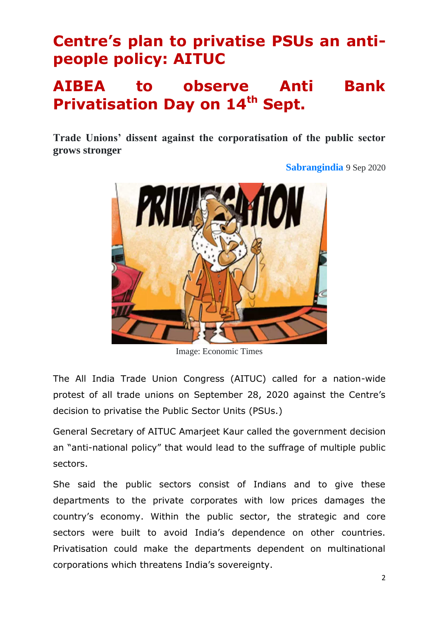## **Centre's plan to privatise PSUs an antipeople policy: AITUC**

## **AIBEA to observe Anti Bank Privatisation Day on 14th Sept.**

**Trade Unions' dissent against the corporatisation of the public sector grows stronger**

**[Sabrangindia](https://sabrangindia.in/articles/Sabrangindia)** 9 Sep 2020



Image: Economic Times

The All India Trade Union Congress (AITUC) called for a nation-wide protest of all trade unions on September 28, 2020 against the Centre's decision to privatise the Public Sector Units (PSUs.)

General Secretary of AITUC Amarjeet Kaur called the government decision an "anti-national policy" that would lead to the suffrage of multiple public sectors.

She said the public sectors consist of Indians and to give these departments to the private corporates with low prices damages the country's economy. Within the public sector, the strategic and core sectors were built to avoid India's dependence on other countries. Privatisation could make the departments dependent on multinational corporations which threatens India's sovereignty.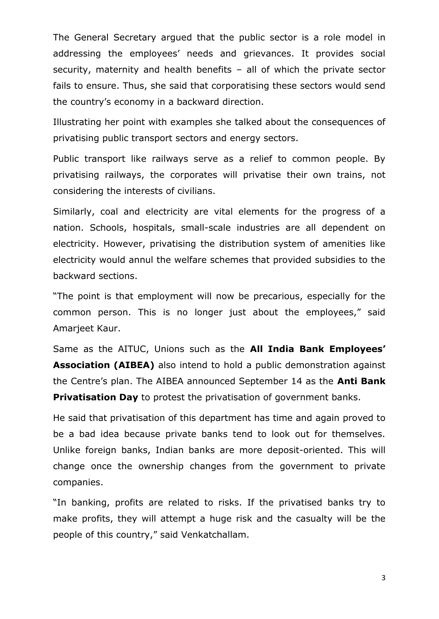The General Secretary argued that the public sector is a role model in addressing the employees' needs and grievances. It provides social security, maternity and health benefits – all of which the private sector fails to ensure. Thus, she said that corporatising these sectors would send the country's economy in a backward direction.

Illustrating her point with examples she talked about the consequences of privatising public transport sectors and energy sectors.

Public transport like railways serve as a relief to common people. By privatising railways, the corporates will privatise their own trains, not considering the interests of civilians.

Similarly, coal and electricity are vital elements for the progress of a nation. Schools, hospitals, small-scale industries are all dependent on electricity. However, privatising the distribution system of amenities like electricity would annul the welfare schemes that provided subsidies to the backward sections.

"The point is that employment will now be precarious, especially for the common person. This is no longer just about the employees," said Amarjeet Kaur.

Same as the AITUC, Unions such as the **All India Bank Employees' Association (AIBEA)** also intend to hold a public demonstration against the Centre's plan. The AIBEA announced September 14 as the **Anti Bank Privatisation Day** to protest the privatisation of government banks.

He said that privatisation of this department has time and again proved to be a bad idea because private banks tend to look out for themselves. Unlike foreign banks, Indian banks are more deposit-oriented. This will change once the ownership changes from the government to private companies.

"In banking, profits are related to risks. If the privatised banks try to make profits, they will attempt a huge risk and the casualty will be the people of this country," said Venkatchallam.

3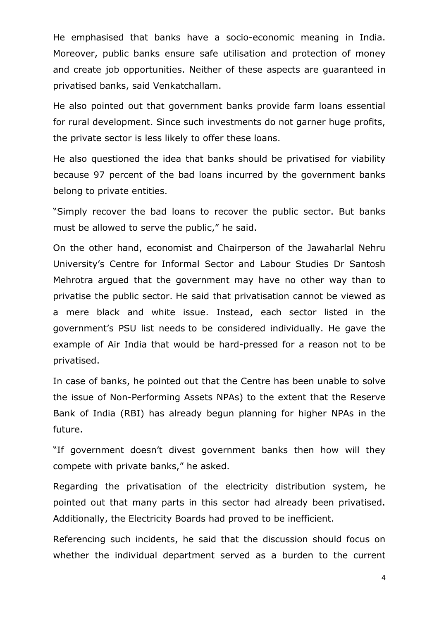He emphasised that banks have a socio-economic meaning in India. Moreover, public banks ensure safe utilisation and protection of money and create job opportunities. Neither of these aspects are guaranteed in privatised banks, said Venkatchallam.

He also pointed out that government banks provide farm loans essential for rural development. Since such investments do not garner huge profits, the private sector is less likely to offer these loans.

He also questioned the idea that banks should be privatised for viability because 97 percent of the bad loans incurred by the government banks belong to private entities.

"Simply recover the bad loans to recover the public sector. But banks must be allowed to serve the public," he said.

On the other hand, economist and Chairperson of the Jawaharlal Nehru University's Centre for Informal Sector and Labour Studies Dr Santosh Mehrotra argued that the government may have no other way than to privatise the public sector. He said that privatisation cannot be viewed as a mere black and white issue. Instead, each sector listed in the government's PSU list needs to be considered individually. He gave the example of Air India that would be hard-pressed for a reason not to be privatised.

In case of banks, he pointed out that the Centre has been unable to solve the issue of Non-Performing Assets NPAs) to the extent that the Reserve Bank of India (RBI) has already begun planning for higher NPAs in the future.

"If government doesn't divest government banks then how will they compete with private banks," he asked.

Regarding the privatisation of the electricity distribution system, he pointed out that many parts in this sector had already been privatised. Additionally, the Electricity Boards had proved to be inefficient.

Referencing such incidents, he said that the discussion should focus on whether the individual department served as a burden to the current

4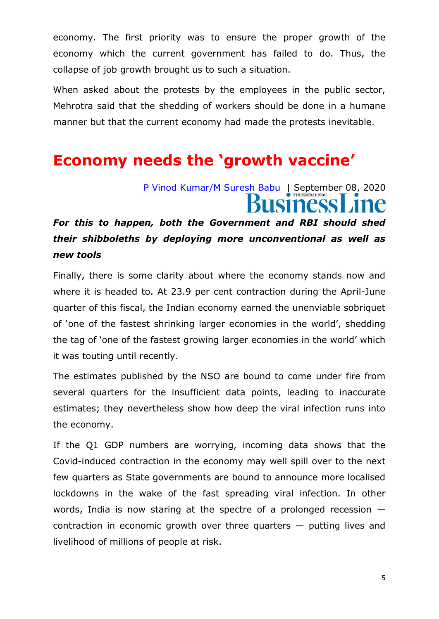economy. The first priority was to ensure the proper growth of the economy which the current government has failed to do. Thus, the collapse of job growth brought us to such a situation.

When asked about the protests by the employees in the public sector, Mehrotra said that the shedding of workers should be done in a humane manner but that the current economy had made the protests inevitable.

### **Economy needs the 'growth vaccine'**

# [P Vinod Kumar/M Suresh Babu](https://www.thehindubusinessline.com/profile/author/P-Vinod-Kumar-M-Suresh-Babu-137787/) | September 08, 2020

#### *For this to happen, both the Government and RBI should shed their shibboleths by deploying more unconventional as well as new tools*

Finally, there is some clarity about where the economy stands now and where it is headed to. At 23.9 per cent contraction during the April-June quarter of this fiscal, the Indian economy earned the unenviable sobriquet of 'one of the fastest shrinking larger economies in the world', shedding the tag of 'one of the fastest growing larger economies in the world' which it was touting until recently.

The estimates published by the NSO are bound to come under fire from several quarters for the insufficient data points, leading to inaccurate estimates; they nevertheless show how deep the viral infection runs into the economy.

If the Q1 GDP numbers are worrying, incoming data shows that the Covid-induced contraction in the economy may well spill over to the next few quarters as State governments are bound to announce more localised lockdowns in the wake of the fast spreading viral infection. In other words, India is now staring at the spectre of a prolonged recession contraction in economic growth over three quarters — putting lives and livelihood of millions of people at risk.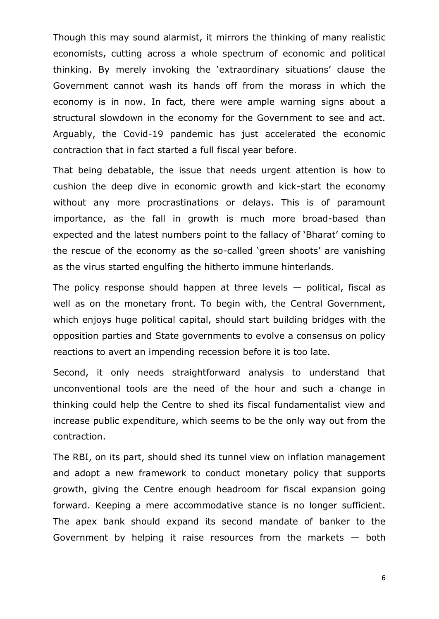Though this may sound alarmist, it mirrors the thinking of many realistic economists, cutting across a whole spectrum of economic and political thinking. By merely invoking the 'extraordinary situations' clause the Government cannot wash its hands off from the morass in which the economy is in now. In fact, there were ample warning signs about a structural slowdown in the economy for the Government to see and act. Arguably, the Covid-19 pandemic has just accelerated the economic contraction that in fact started a full fiscal year before.

That being debatable, the issue that needs urgent attention is how to cushion the deep dive in economic growth and kick-start the economy without any more procrastinations or delays. This is of paramount importance, as the fall in growth is much more broad-based than expected and the latest numbers point to the fallacy of 'Bharat' coming to the rescue of the economy as the so-called 'green shoots' are vanishing as the virus started engulfing the hitherto immune hinterlands.

The policy response should happen at three levels  $-$  political, fiscal as well as on the monetary front. To begin with, the Central Government, which enjoys huge political capital, should start building bridges with the opposition parties and State governments to evolve a consensus on policy reactions to avert an impending recession before it is too late.

Second, it only needs straightforward analysis to understand that unconventional tools are the need of the hour and such a change in thinking could help the Centre to shed its fiscal fundamentalist view and increase public expenditure, which seems to be the only way out from the contraction.

The RBI, on its part, should shed its tunnel view on inflation management and adopt a new framework to conduct monetary policy that supports growth, giving the Centre enough headroom for fiscal expansion going forward. Keeping a mere accommodative stance is no longer sufficient. The apex bank should expand its second mandate of banker to the Government by helping it raise resources from the markets  $-$  both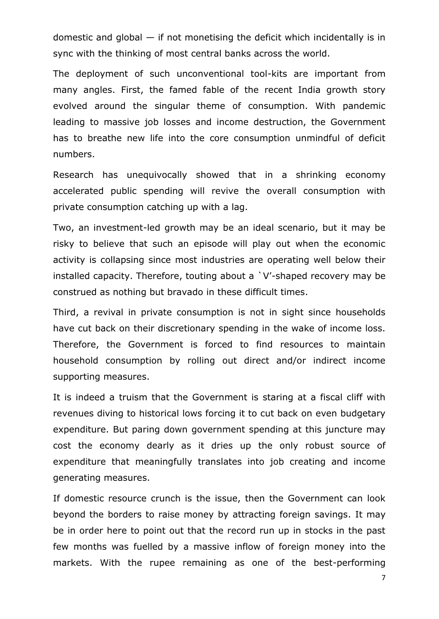domestic and global  $-$  if not monetising the deficit which incidentally is in sync with the thinking of most central banks across the world.

The deployment of such unconventional tool-kits are important from many angles. First, the famed fable of the recent India growth story evolved around the singular theme of consumption. With pandemic leading to massive job losses and income destruction, the Government has to breathe new life into the core consumption unmindful of deficit numbers.

Research has unequivocally showed that in a shrinking economy accelerated public spending will revive the overall consumption with private consumption catching up with a lag.

Two, an investment-led growth may be an ideal scenario, but it may be risky to believe that such an episode will play out when the economic activity is collapsing since most industries are operating well below their installed capacity. Therefore, touting about a `V'-shaped recovery may be construed as nothing but bravado in these difficult times.

Third, a revival in private consumption is not in sight since households have cut back on their discretionary spending in the wake of income loss. Therefore, the Government is forced to find resources to maintain household consumption by rolling out direct and/or indirect income supporting measures.

It is indeed a truism that the Government is staring at a fiscal cliff with revenues diving to historical lows forcing it to cut back on even budgetary expenditure. But paring down government spending at this juncture may cost the economy dearly as it dries up the only robust source of expenditure that meaningfully translates into job creating and income generating measures.

If domestic resource crunch is the issue, then the Government can look beyond the borders to raise money by attracting foreign savings. It may be in order here to point out that the record run up in stocks in the past few months was fuelled by a massive inflow of foreign money into the markets. With the rupee remaining as one of the best-performing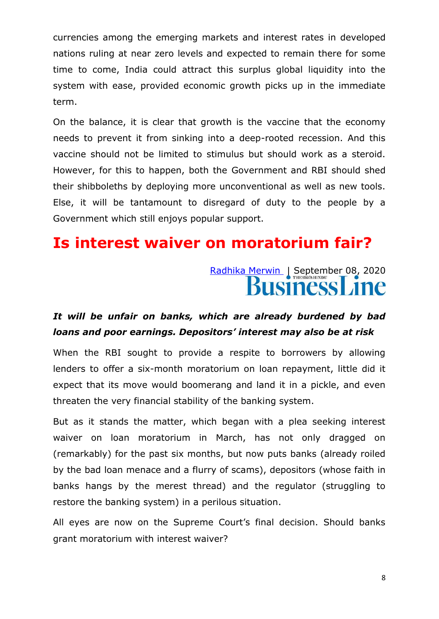currencies among the emerging markets and interest rates in developed nations ruling at near zero levels and expected to remain there for some time to come, India could attract this surplus global liquidity into the system with ease, provided economic growth picks up in the immediate term.

On the balance, it is clear that growth is the vaccine that the economy needs to prevent it from sinking into a deep-rooted recession. And this vaccine should not be limited to stimulus but should work as a steroid. However, for this to happen, both the Government and RBI should shed their shibboleths by deploying more unconventional as well as new tools. Else, it will be tantamount to disregard of duty to the people by a Government which still enjoys popular support.

### **Is interest waiver on moratorium fair?**

## [Radhika Merwin](https://www.thehindubusinessline.com/profile/author/Radhika-Merwin-14558/) | September 08, 2020 usiness Line

#### *It will be unfair on banks, which are already burdened by bad loans and poor earnings. Depositors' interest may also be at risk*

When the RBI sought to provide a respite to borrowers by allowing lenders to offer a six-month moratorium on loan repayment, little did it expect that its move would boomerang and land it in a pickle, and even threaten the very financial stability of the banking system.

But as it stands the matter, which began with a plea seeking interest waiver on loan moratorium in March, has not only dragged on (remarkably) for the past six months, but now puts banks (already roiled by the bad loan menace and a flurry of scams), depositors (whose faith in banks hangs by the merest thread) and the regulator (struggling to restore the banking system) in a perilous situation.

All eyes are now on the Supreme Court's final decision. Should banks grant moratorium with interest waiver?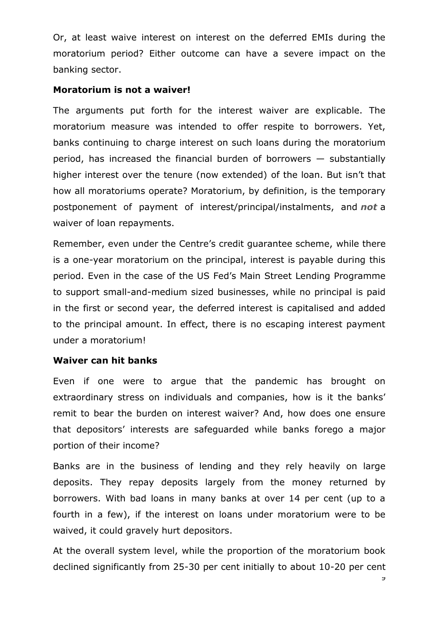Or, at least waive interest on interest on the deferred EMIs during the moratorium period? Either outcome can have a severe impact on the banking sector.

#### **Moratorium is not a waiver!**

The arguments put forth for the interest waiver are explicable. The moratorium measure was intended to offer respite to borrowers. Yet, banks continuing to charge interest on such loans during the moratorium period, has increased the financial burden of borrowers — substantially higher interest over the tenure (now extended) of the loan. But isn't that how all moratoriums operate? Moratorium, by definition, is the temporary postponement of payment of interest/principal/instalments, and *not* a waiver of loan repayments.

Remember, even under the Centre's credit guarantee scheme, while there is a one-year moratorium on the principal, interest is payable during this period. Even in the case of the US Fed's Main Street Lending Programme to support small-and-medium sized businesses, while no principal is paid in the first or second year, the deferred interest is capitalised and added to the principal amount. In effect, there is no escaping interest payment under a moratorium!

#### **Waiver can hit banks**

Even if one were to argue that the pandemic has brought on extraordinary stress on individuals and companies, how is it the banks' remit to bear the burden on interest waiver? And, how does one ensure that depositors' interests are safeguarded while banks forego a major portion of their income?

Banks are in the business of lending and they rely heavily on large deposits. They repay deposits largely from the money returned by borrowers. With bad loans in many banks at over 14 per cent (up to a fourth in a few), if the interest on loans under moratorium were to be waived, it could gravely hurt depositors.

At the overall system level, while the proportion of the moratorium book declined significantly from 25-30 per cent initially to about 10-20 per cent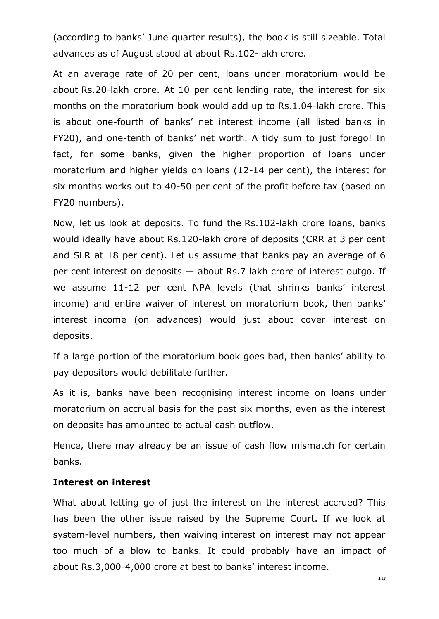(according to banks' June quarter results), the book is still sizeable. Total advances as of August stood at about Rs.102-lakh crore.

At an average rate of 20 per cent, loans under moratorium would be about Rs.20-lakh crore. At 10 per cent lending rate, the interest for six months on the moratorium book would add up to Rs.1.04-lakh crore. This is about one-fourth of banks' net interest income (all listed banks in FY20), and one-tenth of banks' net worth. A tidy sum to just forego! In fact, for some banks, given the higher proportion of loans under moratorium and higher yields on loans (12-14 per cent), the interest for six months works out to 40-50 per cent of the profit before tax (based on FY20 numbers).

Now, let us look at deposits. To fund the Rs.102-lakh crore loans, banks would ideally have about Rs.120-lakh crore of deposits (CRR at 3 per cent and SLR at 18 per cent). Let us assume that banks pay an average of 6 per cent interest on deposits — about Rs.7 lakh crore of interest outgo. If we assume 11-12 per cent NPA levels (that shrinks banks' interest income) and entire waiver of interest on moratorium book, then banks' interest income (on advances) would just about cover interest on deposits.

If a large portion of the moratorium book goes bad, then banks' ability to pay depositors would debilitate further.

As it is, banks have been recognising interest income on loans under moratorium on accrual basis for the past six months, even as the interest on deposits has amounted to actual cash outflow.

Hence, there may already be an issue of cash flow mismatch for certain banks.

#### **Interest on interest**

What about letting go of just the interest on the interest accrued? This has been the other issue raised by the Supreme Court. If we look at system-level numbers, then waiving interest on interest may not appear too much of a blow to banks. It could probably have an impact of about Rs.3,000-4,000 crore at best to banks' interest income.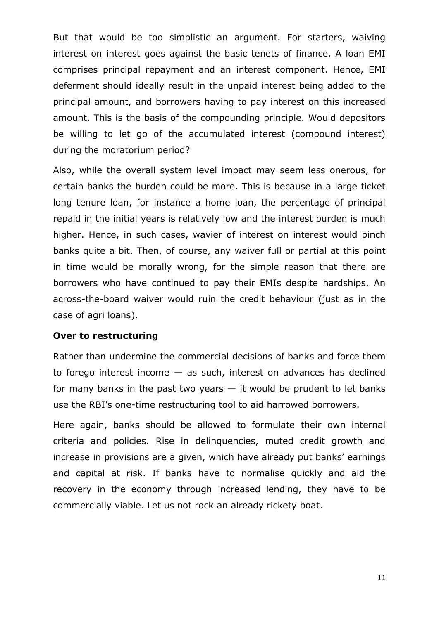But that would be too simplistic an argument. For starters, waiving interest on interest goes against the basic tenets of finance. A loan EMI comprises principal repayment and an interest component. Hence, EMI deferment should ideally result in the unpaid interest being added to the principal amount, and borrowers having to pay interest on this increased amount. This is the basis of the compounding principle. Would depositors be willing to let go of the accumulated interest (compound interest) during the moratorium period?

Also, while the overall system level impact may seem less onerous, for certain banks the burden could be more. This is because in a large ticket long tenure loan, for instance a home loan, the percentage of principal repaid in the initial years is relatively low and the interest burden is much higher. Hence, in such cases, wavier of interest on interest would pinch banks quite a bit. Then, of course, any waiver full or partial at this point in time would be morally wrong, for the simple reason that there are borrowers who have continued to pay their EMIs despite hardships. An across-the-board waiver would ruin the credit behaviour (just as in the case of agri loans).

#### **Over to restructuring**

Rather than undermine the commercial decisions of banks and force them to forego interest income  $-$  as such, interest on advances has declined for many banks in the past two years  $-$  it would be prudent to let banks use the RBI's one-time restructuring tool to aid harrowed borrowers.

Here again, banks should be allowed to formulate their own internal criteria and policies. Rise in delinquencies, muted credit growth and increase in provisions are a given, which have already put banks' earnings and capital at risk. If banks have to normalise quickly and aid the recovery in the economy through increased lending, they have to be commercially viable. Let us not rock an already rickety boat.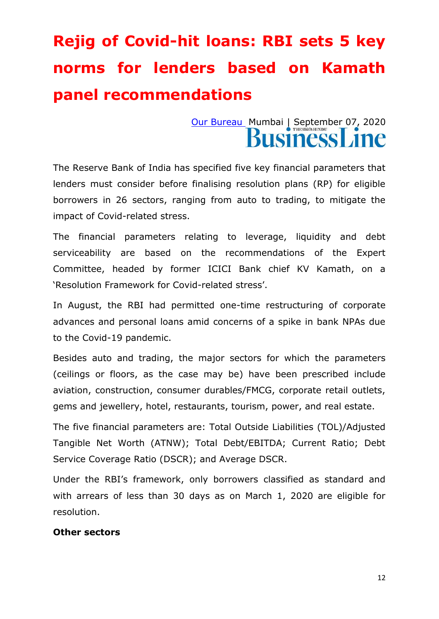## **Rejig of Covid-hit loans: RBI sets 5 key norms for lenders based on Kamath panel recommendations**

### [Our Bureau](https://www.thehindubusinessline.com/profile/author/Our-Bureau-15447/) Mumbai | September 07, 2020 usiness **L**

The Reserve Bank of India has specified five key financial parameters that lenders must consider before finalising resolution plans (RP) for eligible borrowers in 26 sectors, ranging from auto to trading, to mitigate the impact of Covid-related stress.

The financial parameters relating to leverage, liquidity and debt serviceability are based on the recommendations of the Expert Committee, headed by former ICICI Bank chief KV Kamath, on a ‗Resolution Framework for Covid-related stress'.

In August, the RBI had permitted one-time restructuring of corporate advances and personal loans amid concerns of a spike in bank NPAs due to the Covid-19 pandemic.

Besides auto and trading, the major sectors for which the parameters (ceilings or floors, as the case may be) have been prescribed include aviation, construction, consumer durables/FMCG, corporate retail outlets, gems and jewellery, hotel, restaurants, tourism, power, and real estate.

The five financial parameters are: Total Outside Liabilities (TOL)/Adjusted Tangible Net Worth (ATNW); Total Debt/EBITDA; Current Ratio; Debt Service Coverage Ratio (DSCR); and Average DSCR.

Under the RBI's framework, only borrowers classified as standard and with arrears of less than 30 days as on March 1, 2020 are eligible for resolution.

#### **Other sectors**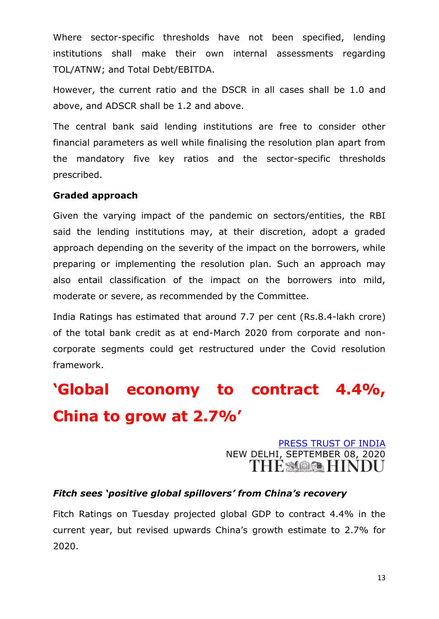Where sector-specific thresholds have not been specified, lending institutions shall make their own internal assessments regarding TOL/ATNW; and Total Debt/EBITDA.

However, the current ratio and the DSCR in all cases shall be 1.0 and above, and ADSCR shall be 1.2 and above.

The central bank said lending institutions are free to consider other financial parameters as well while finalising the resolution plan apart from the mandatory five key ratios and the sector-specific thresholds prescribed.

#### **Graded approach**

Given the varying impact of the pandemic on sectors/entities, the RBI said the lending institutions may, at their discretion, adopt a graded approach depending on the severity of the impact on the borrowers, while preparing or implementing the resolution plan. Such an approach may also entail classification of the impact on the borrowers into mild, moderate or severe, as recommended by the Committee.

India Ratings has estimated that around 7.7 per cent (Rs.8.4-lakh crore) of the total bank credit as at end-March 2020 from corporate and noncorporate segments could get restructured under the Covid resolution framework.

## **'Global economy to contract 4.4%, China to grow at 2.7%'**

[PRESS TRUST OF INDIA](https://www.thehindu.com/profile/author/PRESS-TRUST-OF-INDIA-6101/) NEW DELHI, SEPTEMBER 08, 2020

#### *Fitch sees 'positive global spillovers' from China's recovery*

Fitch Ratings on Tuesday projected global GDP to contract 4.4% in the current year, but revised upwards China's growth estimate to 2.7% for 2020.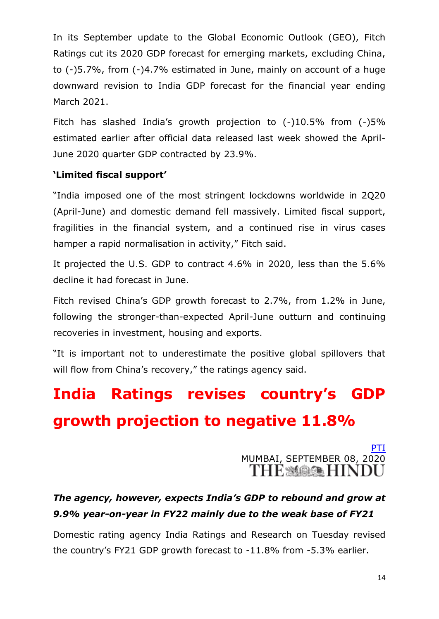In its September update to the Global Economic Outlook (GEO), Fitch Ratings cut its 2020 GDP forecast for emerging markets, excluding China, to (-)5.7%, from (-)4.7% estimated in June, mainly on account of a huge downward revision to India GDP forecast for the financial year ending March 2021.

Fitch has slashed India's growth projection to (-)10.5% from (-)5% estimated earlier after official data released last week showed the April-June 2020 quarter GDP contracted by 23.9%.

#### **'Limited fiscal support'**

"India imposed one of the most stringent lockdowns worldwide in 2Q20 (April-June) and domestic demand fell massively. Limited fiscal support, fragilities in the financial system, and a continued rise in virus cases hamper a rapid normalisation in activity," Fitch said.

It projected the U.S. GDP to contract 4.6% in 2020, less than the 5.6% decline it had forecast in June.

Fitch revised China's GDP growth forecast to 2.7%, from 1.2% in June, following the stronger-than-expected April-June outturn and continuing recoveries in investment, housing and exports.

"It is important not to underestimate the positive global spillovers that will flow from China's recovery," the ratings agency said.

## **India Ratings revises country's GDP growth projection to negative 11.8%**

[PTI](https://www.thehindu.com/business/Economy/india-ratings-revises-countrys-gdp-growth-projection-to-negative/article32549828.ece) MUMBAI, SEPTEMBER 08, 2020

#### *The agency, however, expects India's GDP to rebound and grow at 9.9% year-on-year in FY22 mainly due to the weak base of FY21*

Domestic rating agency India Ratings and Research on Tuesday revised the country's FY21 GDP growth forecast to -11.8% from -5.3% earlier.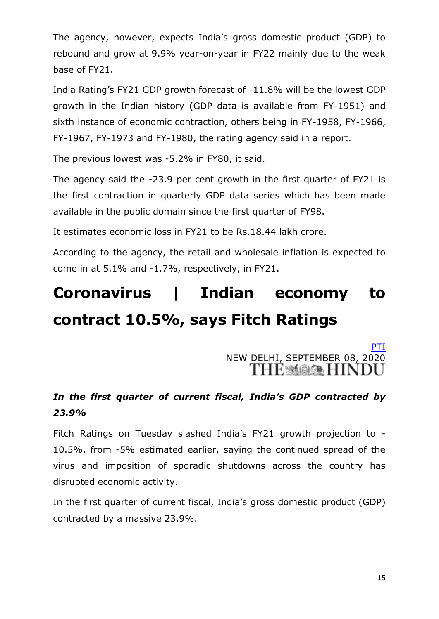The agency, however, expects India's gross domestic product (GDP) to rebound and grow at 9.9% year-on-year in FY22 mainly due to the weak base of FY21.

India Rating's FY21 GDP growth forecast of -11.8% will be the lowest GDP growth in the Indian history (GDP data is available from FY-1951) and sixth instance of economic contraction, others being in FY-1958, FY-1966, FY-1967, FY-1973 and FY-1980, the rating agency said in a report.

The previous lowest was -5.2% in FY80, it said.

The agency said the -23.9 per cent growth in the first quarter of FY21 is the first contraction in quarterly GDP data series which has been made available in the public domain since the first quarter of FY98.

It estimates economic loss in FY21 to be Rs.18.44 lakh crore.

According to the agency, the retail and wholesale inflation is expected to come in at 5.1% and -1.7%, respectively, in FY21.

## **Coronavirus | Indian economy to contract 10.5%, says Fitch Ratings**

[PTI](https://www.thehindu.com/business/Economy/coronavirus-indian-economy-to-contract-105-says-fitch-ratings/article32550771.ece) NEW DELHI, SEPTEMBER 08, 2020

#### *In the first quarter of current fiscal, India's GDP contracted by 23.9%*

Fitch Ratings on Tuesday slashed India's FY21 growth projection to - 10.5%, from -5% estimated earlier, saying the continued spread of the virus and imposition of sporadic shutdowns across the country has disrupted economic activity.

In the first quarter of current fiscal, India's gross domestic product (GDP) contracted by a massive 23.9%.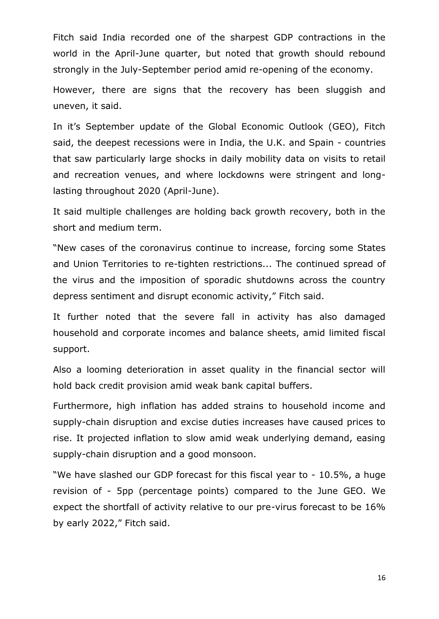Fitch said India recorded one of the sharpest GDP contractions in the world in the April-June quarter, but noted that growth should rebound strongly in the July-September period amid re-opening of the economy.

However, there are signs that the recovery has been sluggish and uneven, it said.

In it's September update of the Global Economic Outlook (GEO), Fitch said, the deepest recessions were in India, the U.K. and Spain - countries that saw particularly large shocks in daily mobility data on visits to retail and recreation venues, and where lockdowns were stringent and longlasting throughout 2020 (April-June).

It said multiple challenges are holding back growth recovery, both in the short and medium term.

"New cases of the coronavirus continue to increase, forcing some States and Union Territories to re-tighten restrictions... The continued spread of the virus and the imposition of sporadic shutdowns across the country depress sentiment and disrupt economic activity," Fitch said.

It further noted that the severe fall in activity has also damaged household and corporate incomes and balance sheets, amid limited fiscal support.

Also a looming deterioration in asset quality in the financial sector will hold back credit provision amid weak bank capital buffers.

Furthermore, high inflation has added strains to household income and supply-chain disruption and excise duties increases have caused prices to rise. It projected inflation to slow amid weak underlying demand, easing supply-chain disruption and a good monsoon.

"We have slashed our GDP forecast for this fiscal year to - 10.5%, a huge revision of - 5pp (percentage points) compared to the June GEO. We expect the shortfall of activity relative to our pre-virus forecast to be 16% by early 2022," Fitch said.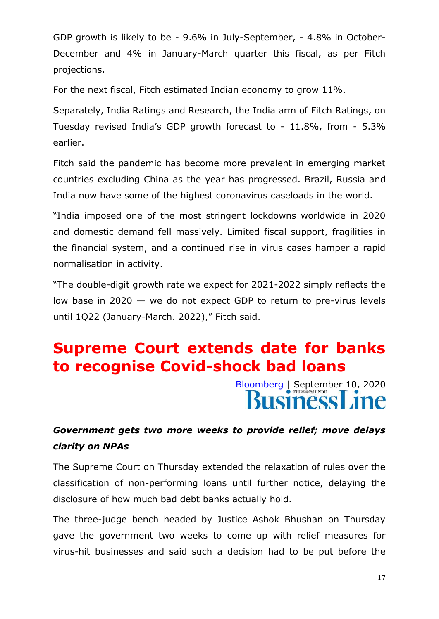GDP growth is likely to be - 9.6% in July-September, - 4.8% in October-December and 4% in January-March quarter this fiscal, as per Fitch projections.

For the next fiscal, Fitch estimated Indian economy to grow 11%.

Separately, India Ratings and Research, the India arm of Fitch Ratings, on Tuesday revised India's GDP growth forecast to - 11.8%, from - 5.3% earlier.

Fitch said the pandemic has become more prevalent in emerging market countries excluding China as the year has progressed. Brazil, Russia and India now have some of the highest coronavirus caseloads in the world.

"India imposed one of the most stringent lockdowns worldwide in 2020 and domestic demand fell massively. Limited fiscal support, fragilities in the financial system, and a continued rise in virus cases hamper a rapid normalisation in activity.

"The double-digit growth rate we expect for 2021-2022 simply reflects the low base in 2020 — we do not expect GDP to return to pre-virus levels until 1Q22 (January-March. 2022)," Fitch said.

## **Supreme Court extends date for banks to recognise Covid-shock bad loans**

[Bloomberg](https://www.thehindubusinessline.com/profile/author/Bloomberg-20788/) | September 10, 2020

#### *Government gets two more weeks to provide relief; move delays clarity on NPAs*

The Supreme Court on Thursday extended the relaxation of rules over the classification of non-performing loans until further notice, delaying the disclosure of how much bad debt banks actually hold.

The three-judge bench headed by Justice Ashok Bhushan on Thursday gave the government two weeks to come up with relief measures for virus-hit businesses and said such a decision had to be put before the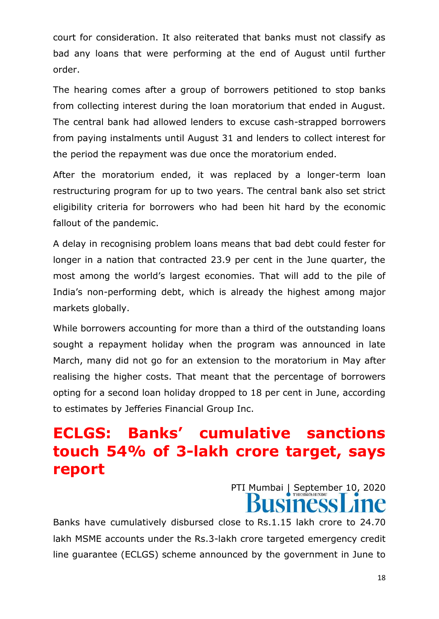court for consideration. It also reiterated that banks must not classify as bad any loans that were performing at the end of August until further order.

The hearing comes after a group of borrowers petitioned to stop banks from collecting interest during the loan moratorium that ended in August. The central bank had allowed lenders to excuse cash-strapped borrowers from paying instalments until August 31 and lenders to collect interest for the period the repayment was due once the moratorium ended.

After the moratorium ended, it was replaced by a longer-term loan restructuring program for up to two years. The central bank also set strict eligibility criteria for borrowers who had been hit hard by the economic fallout of the pandemic.

A delay in recognising problem loans means that bad debt could fester for longer in a nation that contracted 23.9 per cent in the June quarter, the most among the world's largest economies. That will add to the pile of India's non-performing debt, which is already the highest among major markets globally.

While borrowers accounting for more than a third of the outstanding loans sought a repayment holiday when the program was announced in late March, many did not go for an extension to the moratorium in May after realising the higher costs. That meant that the percentage of borrowers opting for a second loan holiday dropped to 18 per cent in June, according to estimates by Jefferies Financial Group Inc.

## **ECLGS: Banks' cumulative sanctions touch 54% of 3-lakh crore target, says report**

PTI Mumbai | September 10, 2020 **SINESS** 

Banks have cumulatively disbursed close to Rs.1.15 lakh crore to 24.70 lakh MSME accounts under the Rs.3-lakh crore targeted emergency credit line guarantee (ECLGS) scheme announced by the government in June to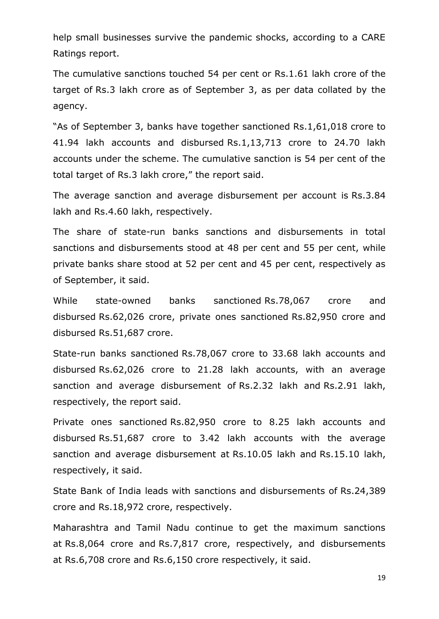help small businesses survive the pandemic shocks, according to a CARE Ratings report.

The cumulative sanctions touched 54 per cent or Rs.1.61 lakh crore of the target of Rs.3 lakh crore as of September 3, as per data collated by the agency.

"As of September 3, banks have together sanctioned Rs.1,61,018 crore to 41.94 lakh accounts and disbursed Rs.1,13,713 crore to 24.70 lakh accounts under the scheme. The cumulative sanction is 54 per cent of the total target of Rs.3 lakh crore," the report said.

The average sanction and average disbursement per account is Rs.3.84 lakh and Rs.4.60 lakh, respectively.

The share of state-run banks sanctions and disbursements in total sanctions and disbursements stood at 48 per cent and 55 per cent, while private banks share stood at 52 per cent and 45 per cent, respectively as of September, it said.

While state-owned banks sanctioned Rs.78,067 crore and disbursed Rs.62,026 crore, private ones sanctioned Rs.82,950 crore and disbursed Rs.51,687 crore.

State-run banks sanctioned Rs.78,067 crore to 33.68 lakh accounts and disbursed Rs.62,026 crore to 21.28 lakh accounts, with an average sanction and average disbursement of Rs.2.32 lakh and Rs.2.91 lakh, respectively, the report said.

Private ones sanctioned Rs.82,950 crore to 8.25 lakh accounts and disbursed Rs.51,687 crore to 3.42 lakh accounts with the average sanction and average disbursement at Rs.10.05 lakh and Rs.15.10 lakh, respectively, it said.

State Bank of India leads with sanctions and disbursements of Rs.24,389 crore and Rs.18,972 crore, respectively.

Maharashtra and Tamil Nadu continue to get the maximum sanctions at Rs.8,064 crore and Rs.7,817 crore, respectively, and disbursements at Rs.6,708 crore and Rs.6,150 crore respectively, it said.

19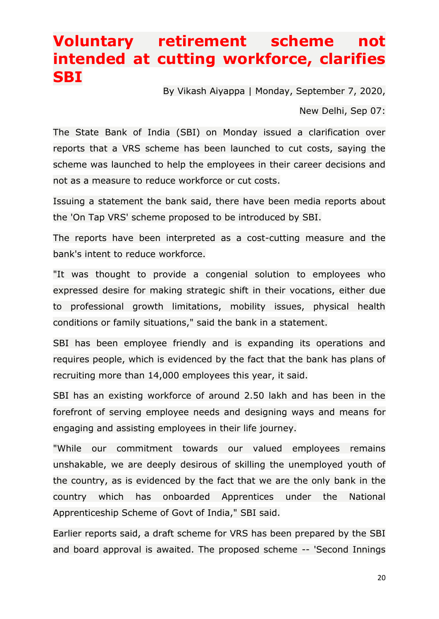## **Voluntary retirement scheme not intended at cutting workforce, clarifies SBI**

By Vikash Aiyappa | Monday, September 7, 2020,

New Delhi, Sep 07:

The State Bank of India (SBI) on Monday issued a clarification over reports that a VRS scheme has been launched to cut costs, saying the scheme was launched to help the employees in their career decisions and not as a measure to reduce workforce or cut costs.

Issuing a statement the bank said, there have been media reports about the 'On Tap VRS' scheme proposed to be introduced by SBI.

The reports have been interpreted as a cost-cutting measure and the bank's intent to reduce workforce.

"It was thought to provide a congenial solution to employees who expressed desire for making strategic shift in their vocations, either due to professional growth limitations, mobility issues, physical health conditions or family situations," said the bank in a statement.

SBI has been employee friendly and is expanding its operations and requires people, which is evidenced by the fact that the bank has plans of recruiting more than 14,000 employees this year, it said.

SBI has an existing workforce of around 2.50 lakh and has been in the forefront of serving employee needs and designing ways and means for engaging and assisting employees in their life journey.

"While our commitment towards our valued employees remains unshakable, we are deeply desirous of skilling the unemployed youth of the country, as is evidenced by the fact that we are the only bank in the country which has onboarded Apprentices under the National Apprenticeship Scheme of Govt of India," SBI said.

Earlier reports said, a draft scheme for VRS has been prepared by the SBI and board approval is awaited. The proposed scheme -- 'Second Innings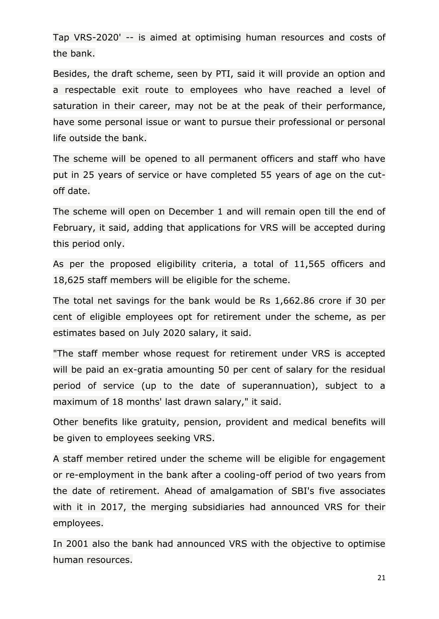Tap VRS-2020' -- is aimed at optimising human resources and costs of the bank.

Besides, the draft scheme, seen by PTI, said it will provide an option and a respectable exit route to employees who have reached a level of saturation in their career, may not be at the peak of their performance, have some personal issue or want to pursue their professional or personal life outside the bank.

The scheme will be opened to all permanent officers and staff who have put in 25 years of service or have completed 55 years of age on the cutoff date.

The scheme will open on December 1 and will remain open till the end of February, it said, adding that applications for VRS will be accepted during this period only.

As per the proposed eligibility criteria, a total of 11,565 officers and 18,625 staff members will be eligible for the scheme.

The total net savings for the bank would be Rs 1,662.86 crore if 30 per cent of eligible employees opt for retirement under the scheme, as per estimates based on July 2020 salary, it said.

"The staff member whose request for retirement under VRS is accepted will be paid an ex-gratia amounting 50 per cent of salary for the residual period of service (up to the date of superannuation), subject to a maximum of 18 months' last drawn salary," it said.

Other benefits like gratuity, pension, provident and medical benefits will be given to employees seeking VRS.

A staff member retired under the scheme will be eligible for engagement or re-employment in the bank after a cooling-off period of two years from the date of retirement. Ahead of amalgamation of SBI's five associates with it in 2017, the merging subsidiaries had announced VRS for their employees.

In 2001 also the bank had announced VRS with the objective to optimise human resources.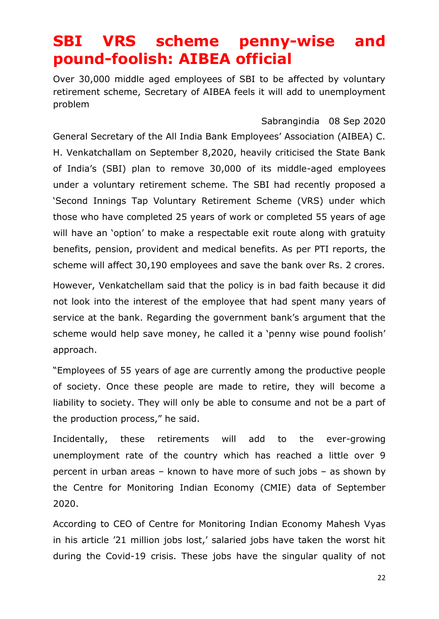## **SBI VRS scheme penny-wise and pound-foolish: AIBEA official**

Over 30,000 middle aged employees of SBI to be affected by voluntary retirement scheme, Secretary of AIBEA feels it will add to unemployment problem

[Sabrangindia](https://sabrangindia.in/articles/Sabrangindia) 08 Sep 2020

General Secretary of the All India Bank Employees' Association (AIBEA) C. H. Venkatchallam on September 8,2020, heavily criticised the State Bank of India's (SBI) plan to remove 30,000 of its middle-aged employees under a voluntary retirement scheme. The SBI had recently proposed a 'Second Innings Tap Voluntary Retirement Scheme (VRS) under which those who have completed 25 years of work or completed 55 years of age will have an 'option' to make a respectable exit route along with gratuity benefits, pension, provident and medical benefits. As per PTI reports, the scheme will affect 30,190 employees and save the bank over Rs. 2 crores.

However, Venkatchellam said that the policy is in bad faith because it did not look into the interest of the employee that had spent many years of service at the bank. Regarding the government bank's argument that the scheme would help save money, he called it a 'penny wise pound foolish' approach.

―Employees of 55 years of age are currently among the productive people of society. Once these people are made to retire, they will become a liability to society. They will only be able to consume and not be a part of the production process," he said.

Incidentally, these retirements will add to the ever-growing unemployment rate of the country which has reached a little over 9 percent in urban areas – known to have more of such jobs – as shown by the Centre for Monitoring Indian Economy (CMIE) data of September 2020.

According to CEO of Centre for Monitoring Indian Economy Mahesh Vyas in his article '21 million jobs lost,' salaried jobs have taken the worst hit during the Covid-19 crisis. These jobs have the singular quality of not